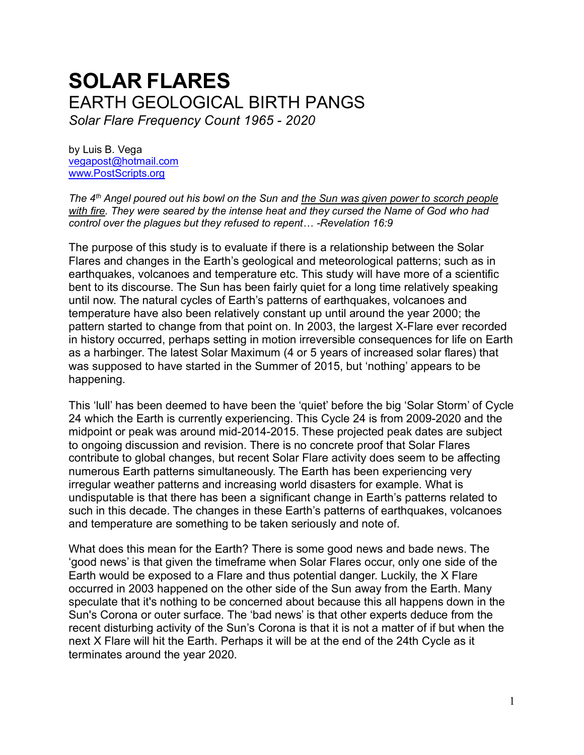# **SOLAR FLARES** EARTH GEOLOGICAL BIRTH PANGS *Solar Flare Frequency Count 1965 - 2020*

by Luis B. Vega [vegapost@hotmail.com](mailto:vegapost@hotmail.com) [www.PostScripts.org](http://www.postscripts.org/)

*The 4th Angel poured out his bowl on the Sun and the Sun was given power to scorch people with fire. They were seared by the intense heat and they cursed the Name of God who had control over the plagues but they refused to repent… -Revelation 16:9*

The purpose of this study is to evaluate if there is a relationship between the Solar Flares and changes in the Earth's geological and meteorological patterns; such as in earthquakes, volcanoes and temperature etc. This study will have more of a scientific bent to its discourse. The Sun has been fairly quiet for a long time relatively speaking until now. The natural cycles of Earth's patterns of earthquakes, volcanoes and temperature have also been relatively constant up until around the year 2000; the pattern started to change from that point on. In 2003, the largest X-Flare ever recorded in history occurred, perhaps setting in motion irreversible consequences for life on Earth as a harbinger. The latest Solar Maximum (4 or 5 years of increased solar flares) that was supposed to have started in the Summer of 2015, but 'nothing' appears to be happening.

This 'lull' has been deemed to have been the 'quiet' before the big 'Solar Storm' of Cycle 24 which the Earth is currently experiencing. This Cycle 24 is from 2009-2020 and the midpoint or peak was around mid-2014-2015. These projected peak dates are subject to ongoing discussion and revision. There is no concrete proof that Solar Flares contribute to global changes, but recent Solar Flare activity does seem to be affecting numerous Earth patterns simultaneously. The Earth has been experiencing very irregular weather patterns and increasing world disasters for example. What is undisputable is that there has been a significant change in Earth's patterns related to such in this decade. The changes in these Earth's patterns of earthquakes, volcanoes and temperature are something to be taken seriously and note of.

What does this mean for the Earth? There is some good news and bade news. The 'good news' is that given the timeframe when Solar Flares occur, only one side of the Earth would be exposed to a Flare and thus potential danger. Luckily, the X Flare occurred in 2003 happened on the other side of the Sun away from the Earth. Many speculate that it's nothing to be concerned about because this all happens down in the Sun's Corona or outer surface. The 'bad news' is that other experts deduce from the recent disturbing activity of the Sun's Corona is that it is not a matter of if but when the next X Flare will hit the Earth. Perhaps it will be at the end of the 24th Cycle as it terminates around the year 2020.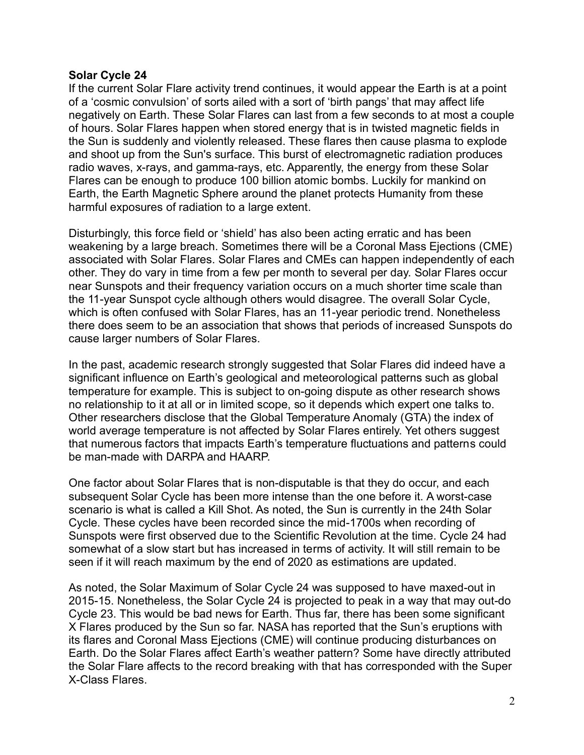#### **Solar Cycle 24**

If the current Solar Flare activity trend continues, it would appear the Earth is at a point of a 'cosmic convulsion' of sorts ailed with a sort of 'birth pangs' that may affect life negatively on Earth. These Solar Flares can last from a few seconds to at most a couple of hours. Solar Flares happen when stored energy that is in twisted magnetic fields in the Sun is suddenly and violently released. These flares then cause plasma to explode and shoot up from the Sun's surface. This burst of electromagnetic radiation produces radio waves, x-rays, and gamma-rays, etc. Apparently, the energy from these Solar Flares can be enough to produce 100 billion atomic bombs. Luckily for mankind on Earth, the Earth Magnetic Sphere around the planet protects Humanity from these harmful exposures of radiation to a large extent.

Disturbingly, this force field or 'shield' has also been acting erratic and has been weakening by a large breach. Sometimes there will be a Coronal Mass Ejections (CME) associated with Solar Flares. Solar Flares and CMEs can happen independently of each other. They do vary in time from a few per month to several per day. Solar Flares occur near Sunspots and their frequency variation occurs on a much shorter time scale than the 11-year Sunspot cycle although others would disagree. The overall Solar Cycle, which is often confused with Solar Flares, has an 11-year periodic trend. Nonetheless there does seem to be an association that shows that periods of increased Sunspots do cause larger numbers of Solar Flares.

In the past, academic research strongly suggested that Solar Flares did indeed have a significant influence on Earth's geological and meteorological patterns such as global temperature for example. This is subject to on-going dispute as other research shows no relationship to it at all or in limited scope, so it depends which expert one talks to. Other researchers disclose that the Global Temperature Anomaly (GTA) the index of world average temperature is not affected by Solar Flares entirely. Yet others suggest that numerous factors that impacts Earth's temperature fluctuations and patterns could be man-made with DARPA and HAARP.

One factor about Solar Flares that is non-disputable is that they do occur, and each subsequent Solar Cycle has been more intense than the one before it. A worst-case scenario is what is called a Kill Shot. As noted, the Sun is currently in the 24th Solar Cycle. These cycles have been recorded since the mid-1700s when recording of Sunspots were first observed due to the Scientific Revolution at the time. Cycle 24 had somewhat of a slow start but has increased in terms of activity. It will still remain to be seen if it will reach maximum by the end of 2020 as estimations are updated.

As noted, the Solar Maximum of Solar Cycle 24 was supposed to have maxed-out in 2015-15. Nonetheless, the Solar Cycle 24 is projected to peak in a way that may out-do Cycle 23. This would be bad news for Earth. Thus far, there has been some significant X Flares produced by the Sun so far. NASA has reported that the Sun's eruptions with its flares and Coronal Mass Ejections (CME) will continue producing disturbances on Earth. Do the Solar Flares affect Earth's weather pattern? Some have directly attributed the Solar Flare affects to the record breaking with that has corresponded with the Super X-Class Flares.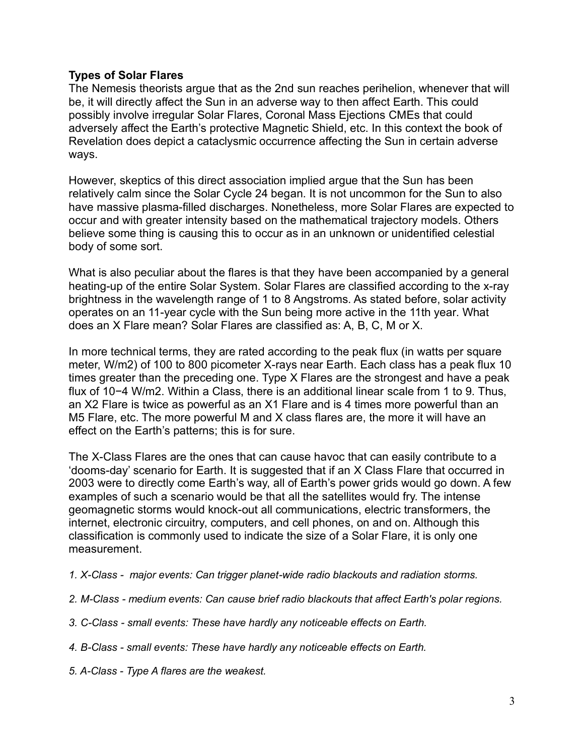# **Types of Solar Flares**

The Nemesis theorists argue that as the 2nd sun reaches perihelion, whenever that will be, it will directly affect the Sun in an adverse way to then affect Earth. This could possibly involve irregular Solar Flares, Coronal Mass Ejections CMEs that could adversely affect the Earth's protective Magnetic Shield, etc. In this context the book of Revelation does depict a cataclysmic occurrence affecting the Sun in certain adverse ways.

However, skeptics of this direct association implied argue that the Sun has been relatively calm since the Solar Cycle 24 began. It is not uncommon for the Sun to also have massive plasma-filled discharges. Nonetheless, more Solar Flares are expected to occur and with greater intensity based on the mathematical trajectory models. Others believe some thing is causing this to occur as in an unknown or unidentified celestial body of some sort.

What is also peculiar about the flares is that they have been accompanied by a general heating-up of the entire Solar System. Solar Flares are classified according to the x-ray brightness in the wavelength range of 1 to 8 Angstroms. As stated before, solar activity operates on an 11-year cycle with the Sun being more active in the 11th year. What does an X Flare mean? Solar Flares are classified as: A, B, C, M or X.

In more technical terms, they are rated according to the peak flux (in watts per square meter, W/m2) of 100 to 800 picometer X-rays near Earth. Each class has a peak flux 10 times greater than the preceding one. Type X Flares are the strongest and have a peak flux of 10−4 W/m2. Within a Class, there is an additional linear scale from 1 to 9. Thus, an X2 Flare is twice as powerful as an X1 Flare and is 4 times more powerful than an M5 Flare, etc. The more powerful M and X class flares are, the more it will have an effect on the Earth's patterns; this is for sure.

The X-Class Flares are the ones that can cause havoc that can easily contribute to a 'dooms-day' scenario for Earth. It is suggested that if an X Class Flare that occurred in 2003 were to directly come Earth's way, all of Earth's power grids would go down. A few examples of such a scenario would be that all the satellites would fry. The intense geomagnetic storms would knock-out all communications, electric transformers, the internet, electronic circuitry, computers, and cell phones, on and on. Although this classification is commonly used to indicate the size of a Solar Flare, it is only one measurement.

*1. X-Class - major events: Can trigger planet-wide radio blackouts and radiation storms.* 

- *2. M-Class - medium events: Can cause brief radio blackouts that affect Earth's polar regions.*
- *3. C-Class - small events: These have hardly any noticeable effects on Earth.*
- *4. B-Class - small events: These have hardly any noticeable effects on Earth.*
- *5. A-Class - Type A flares are the weakest.*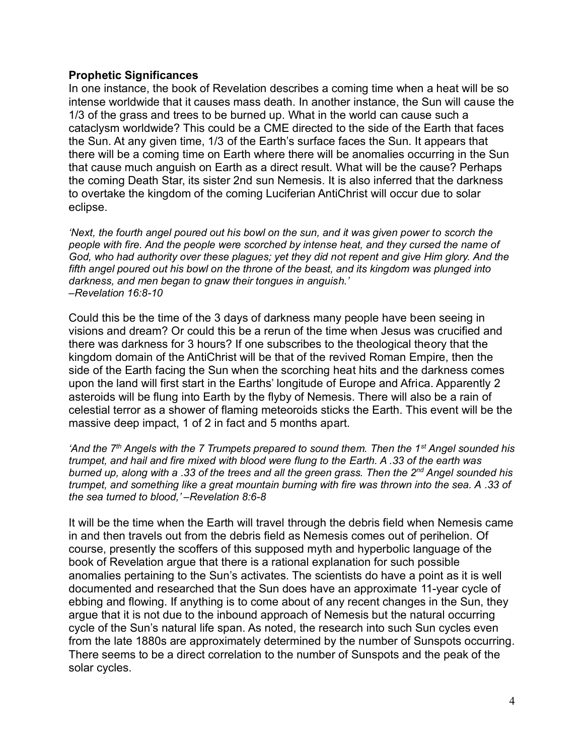## **Prophetic Significances**

In one instance, the book of Revelation describes a coming time when a heat will be so intense worldwide that it causes mass death. In another instance, the Sun will cause the 1/3 of the grass and trees to be burned up. What in the world can cause such a cataclysm worldwide? This could be a CME directed to the side of the Earth that faces the Sun. At any given time, 1/3 of the Earth's surface faces the Sun. It appears that there will be a coming time on Earth where there will be anomalies occurring in the Sun that cause much anguish on Earth as a direct result. What will be the cause? Perhaps the coming Death Star, its sister 2nd sun Nemesis. It is also inferred that the darkness to overtake the kingdom of the coming Luciferian AntiChrist will occur due to solar eclipse.

*'Next, the fourth angel poured out his bowl on the sun, and it was given power to scorch the people with fire. And the people were scorched by intense heat, and they cursed the name of God, who had authority over these plagues; yet they did not repent and give Him glory. And the fifth angel poured out his bowl on the throne of the beast, and its kingdom was plunged into darkness, and men began to gnaw their tongues in anguish.' –Revelation 16:8-10*

Could this be the time of the 3 days of darkness many people have been seeing in visions and dream? Or could this be a rerun of the time when Jesus was crucified and there was darkness for 3 hours? If one subscribes to the theological theory that the kingdom domain of the AntiChrist will be that of the revived Roman Empire, then the side of the Earth facing the Sun when the scorching heat hits and the darkness comes upon the land will first start in the Earths' longitude of Europe and Africa. Apparently 2 asteroids will be flung into Earth by the flyby of Nemesis. There will also be a rain of celestial terror as a shower of flaming meteoroids sticks the Earth. This event will be the massive deep impact, 1 of 2 in fact and 5 months apart.

*'And the 7 th Angels with the 7 Trumpets prepared to sound them. Then the 1st Angel sounded his trumpet, and hail and fire mixed with blood were flung to the Earth. A .33 of the earth was burned up, along with a .33 of the trees and all the green grass. Then the 2nd Angel sounded his trumpet, and something like a great mountain burning with fire was thrown into the sea. A .33 of the sea turned to blood,' –Revelation 8:6-8*

It will be the time when the Earth will travel through the debris field when Nemesis came in and then travels out from the debris field as Nemesis comes out of perihelion. Of course, presently the scoffers of this supposed myth and hyperbolic language of the book of Revelation argue that there is a rational explanation for such possible anomalies pertaining to the Sun's activates. The scientists do have a point as it is well documented and researched that the Sun does have an approximate 11-year cycle of ebbing and flowing. If anything is to come about of any recent changes in the Sun, they argue that it is not due to the inbound approach of Nemesis but the natural occurring cycle of the Sun's natural life span. As noted, the research into such Sun cycles even from the late 1880s are approximately determined by the number of Sunspots occurring. There seems to be a direct correlation to the number of Sunspots and the peak of the solar cycles.